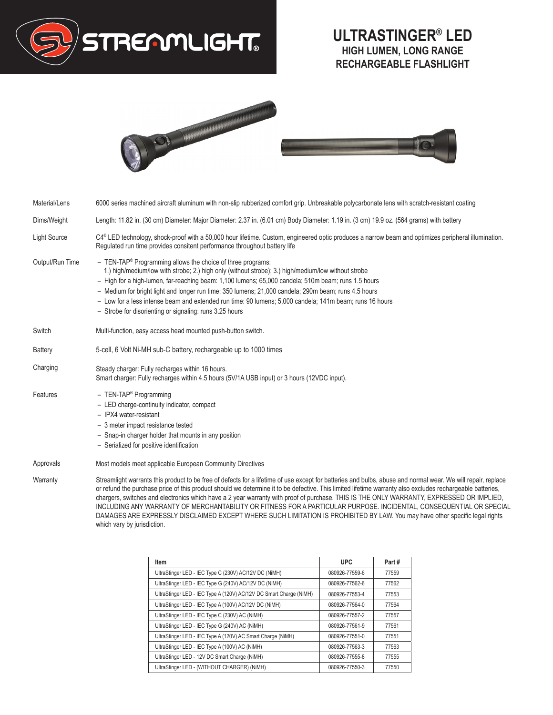

## **ULTRASTINGER® LED HIGH LUMEN, LONG RANGE RECHARGEABLE FLASHLIGHT**



| Material/Lens       | 6000 series machined aircraft aluminum with non-slip rubberized comfort grip. Unbreakable polycarbonate lens with scratch-resistant coating                                                                                                                                                                                                                                                                                                                                                                                                                                                                                                                                                                                  |  |  |
|---------------------|------------------------------------------------------------------------------------------------------------------------------------------------------------------------------------------------------------------------------------------------------------------------------------------------------------------------------------------------------------------------------------------------------------------------------------------------------------------------------------------------------------------------------------------------------------------------------------------------------------------------------------------------------------------------------------------------------------------------------|--|--|
| Dims/Weight         | Length: 11.82 in. (30 cm) Diameter: Major Diameter: 2.37 in. (6.01 cm) Body Diameter: 1.19 in. (3 cm) 19.9 oz. (564 grams) with battery                                                                                                                                                                                                                                                                                                                                                                                                                                                                                                                                                                                      |  |  |
| <b>Light Source</b> | C4 <sup>®</sup> LED technology, shock-proof with a 50,000 hour lifetime. Custom, engineered optic produces a narrow beam and optimizes peripheral illumination.<br>Regulated run time provides consitent performance throughout battery life                                                                                                                                                                                                                                                                                                                                                                                                                                                                                 |  |  |
| Output/Run Time     | $-$ TEN-TAP <sup>®</sup> Programming allows the choice of three programs:<br>1.) high/medium/low with strobe; 2.) high only (without strobe); 3.) high/medium/low without strobe<br>- High for a high-lumen, far-reaching beam: 1,100 lumens; 65,000 candela; 510m beam; runs 1.5 hours<br>- Medium for bright light and longer run time: 350 lumens: 21,000 candela: 290m beam; runs 4.5 hours<br>- Low for a less intense beam and extended run time: 90 lumens; 5,000 candela; 141m beam; runs 16 hours<br>- Strobe for disorienting or signaling: runs 3.25 hours                                                                                                                                                        |  |  |
| Switch              | Multi-function, easy access head mounted push-button switch.                                                                                                                                                                                                                                                                                                                                                                                                                                                                                                                                                                                                                                                                 |  |  |
| <b>Battery</b>      | 5-cell, 6 Volt Ni-MH sub-C battery, rechargeable up to 1000 times                                                                                                                                                                                                                                                                                                                                                                                                                                                                                                                                                                                                                                                            |  |  |
| Charging            | Steady charger: Fully recharges within 16 hours.<br>Smart charger: Fully recharges within 4.5 hours (5V/1A USB input) or 3 hours (12VDC input).                                                                                                                                                                                                                                                                                                                                                                                                                                                                                                                                                                              |  |  |
| Features            | - TEN-TAP® Programming<br>- LED charge-continuity indicator, compact<br>- IPX4 water-resistant<br>- 3 meter impact resistance tested<br>- Snap-in charger holder that mounts in any position<br>- Serialized for positive identification                                                                                                                                                                                                                                                                                                                                                                                                                                                                                     |  |  |
| Approvals           | Most models meet applicable European Community Directives                                                                                                                                                                                                                                                                                                                                                                                                                                                                                                                                                                                                                                                                    |  |  |
| Warranty            | Streamlight warrants this product to be free of defects for a lifetime of use except for batteries and bulbs, abuse and normal wear. We will repair, replace<br>or refund the purchase price of this product should we determine it to be defective. This limited lifetime warranty also excludes rechargeable batteries,<br>chargers, switches and electronics which have a 2 year warranty with proof of purchase. THIS IS THE ONLY WARRANTY, EXPRESSED OR IMPLIED,<br>INCLUDING ANY WARRANTY OF MERCHANTABILITY OR FITNESS FOR A PARTICULAR PURPOSE. INCIDENTAL, CONSEQUENTIAL OR SPECIAL<br>DAMAGES ARE EXPRESSLY DISCLAIMED EXCEPT WHERE SUCH LIMITATION IS PROHIBITED BY LAW. You may have other specific legal rights |  |  |

which vary by jurisdiction.

| Item                                                               | <b>UPC</b>     | Part# |
|--------------------------------------------------------------------|----------------|-------|
| UltraStinger LED - IEC Type C (230V) AC/12V DC (NiMH)              | 080926-77559-6 | 77559 |
| UltraStinger LED - IEC Type G (240V) AC/12V DC (NiMH)              | 080926-77562-6 | 77562 |
| UltraStinger LED - IEC Type A (120V) AC/12V DC Smart Charge (NiMH) | 080926-77553-4 | 77553 |
| UltraStinger LED - IEC Type A (100V) AC/12V DC (NiMH)              | 080926-77564-0 | 77564 |
| UltraStinger LED - IEC Type C (230V) AC (NiMH)                     | 080926-77557-2 | 77557 |
| UltraStinger LED - IEC Type G (240V) AC (NiMH)                     | 080926-77561-9 | 77561 |
| UltraStinger LED - IEC Type A (120V) AC Smart Charge (NiMH)        | 080926-77551-0 | 77551 |
| UltraStinger LED - IEC Type A (100V) AC (NiMH)                     | 080926-77563-3 | 77563 |
| UltraStinger LED - 12V DC Smart Charge (NiMH)                      | 080926-77555-8 | 77555 |
| UltraStinger LED - (WITHOUT CHARGER) (NiMH)                        | 080926-77550-3 | 77550 |